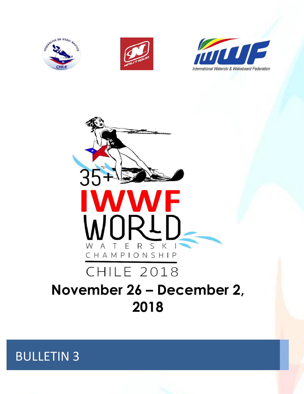







# **November 26 – December 2, 2018**

BULLETIN 3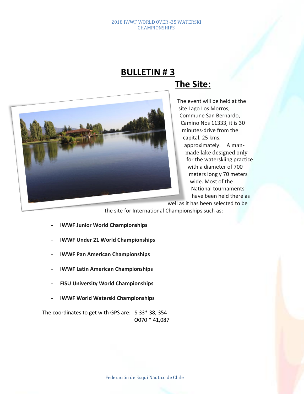# **BULLETIN # 3 The Site:**



## The event will be held at the site Lago Los Morros, Commune San Bernardo, Camino Nos 11333, it is 30 minutes-drive from the capital. 25 kms. approximately. A manmade lake designed only for the waterskiing practice with a diameter of 700 meters long y 70 meters wide. Most of the National tournaments have been held there as

well as it has been selected to be

the site for International Championships such as:

- **IWWF Junior World Championships**
- **IWWF Under 21 World Championships**
- **IWWF Pan American Championships**
- **IWWF Latin American Championships**
- **FISU University World Championships**
- **IWWF World Waterski Championships**

The coordinates to get with GPS are: S 33\* 38, 354 O070 \* 41,087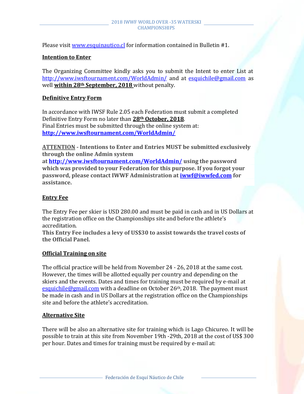Please visit [www.esquinautico.cl](http://www.esquinautico.cl/) for information contained in Bulletin #1.

## **Intention to Enter**

The Organizing Committee kindly asks you to submit the Intent to enter List at <http://www.iwsftournament.com/WorldAdmin/> and at [esquichile@gmail.com](mailto:esquichile@gmail.com) as well **within 28th September, 2018** without penalty.

## **Definitive Entry Form**

In accordance with IWSF Rule 2.05 each Federation must submit a completed Definitive Entry Form no later than **28th October, 2018**. Final Entries must be submitted through the online system at: **<http://www.iwsftournament.com/WorldAdmin/>**

**ATTENTION - Intentions to Enter and Entries MUST be submitted exclusively through the online Admin system** 

**at <http://www.iwsftournament.com/WorldAdmin/> using the password which was provided to your Federation for this purpose. If you forgot your password, please contact IWWF Administration at [iwwf@iwwfed.com](mailto:iwwf@iwwfed.com) for assistance.**

## **Entry Fee**

The Entry Fee per skier is USD 280.00 and must be paid in cash and in US Dollars at the registration office on the Championships site and before the athlete's accreditation.

**This Entry Fee includes a levy of US\$30 to assist towards the travel costs of the Official Panel.**

## **Official Training on site**

The official practice will be held from November 24 - 26, 2018 at the same cost. However, the times will be allotted equally per country and depending on the skiers and the events. Dates and times for training must be required by e-mail at [esquichile@gmail.com](mailto:esquichile@gmail.com) with a deadline on October 26<sup>th</sup>, 2018. The payment must be made in cash and in US Dollars at the registration office on the Championships site and before the athlete's accreditation.

## **Alternative Site**

There will be also an alternative site for training which is Lago Chicureo. It will be possible to train at this site from November 19th -29th, 2018 at the cost of US\$ 300 per hour. Dates and times for training must be required by e-mail at: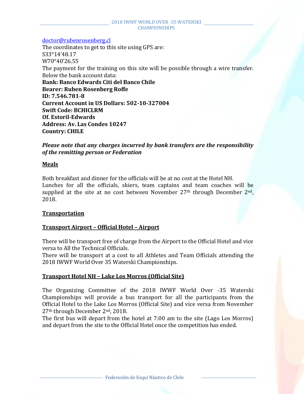[doctor@rubenrosenberg.cl](mailto:doctor@rubenrosenberg.cl)

The coordinates to get to this site using GPS are: S33°14'48.17 W70°40'26.55 The payment for the training on this site will be possible through a wire transfer. Below the bank account data: **Bank: Banco Edwards Citi del Banco Chile Bearer: Ruben Rosenberg Roffe ID: 7.546.781-8 Current Account in US Dollars: 502-10-327004 Swift Code: BCHICLRM Of. Estoril-Edwards Address: Av. Las Condes 10247 Country: CHILE** 

*Please note that any charges incurred by bank transfers are the responsibility of the remitting person or Federation*

## **Meals**

Both breakfast and dinner for the officials will be at no cost at the Hotel NH. Lunches for all the officials, skiers, team captains and team coaches will be supplied at the site at no cost between November  $27<sup>th</sup>$  through December  $2<sup>nd</sup>$ , 2018.

## **Transportation**

## **Transport Airport – Official Hotel – Airport**

There will be transport free of charge from the Airport to the Official Hotel and vice versa to All the Technical Officials.

There will be transport at a cost to all Athletes and Team Officials attending the 2018 IWWF World Over 35 Waterski Championships.

## **Transport Hotel NH – Lake Los Morros (Official Site)**

The Organizing Committee of the 2018 IWWF World Over -35 Waterski Championships will provide a bus transport for all the participants from the Official Hotel to the Lake Los Morros (Official Site) and vice versa from November 27th through December 2nd, 2018.

The first bus will depart from the hotel at 7:00 am to the site (Lago Los Morros) and depart from the site to the Official Hotel once the competition has ended.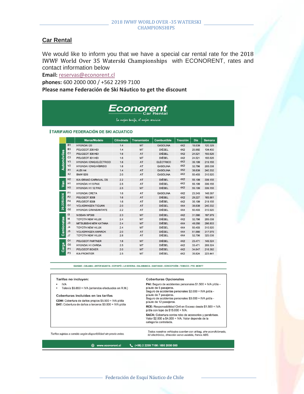### **Car Rental**

We would like to inform you that we have a special car rental rate for the 2018 IWWF World Over 35 Waterski Championships with ECONORENT, rates and contact information below

**Email:** [reservas@econorent.cl](mailto:reservas@econorent.cl)

**phones:** 600 2000 000 / +562 2299 7100

### **Please name Federación de Ski Náutico to get the discount**

# Econorent

La mejor tarifa, el mejor servicio

### **TARIFARIO FEDERACIÓN DE SKI ACUATICO**

|                   |                | <b>Marca/Modelo</b>            | <b>Cilindrada</b> | <b>Transmisión</b> | <b>Combustible</b> | <b>Tracción</b> | Día    | <b>Semana</b> |
|-------------------|----------------|--------------------------------|-------------------|--------------------|--------------------|-----------------|--------|---------------|
| Automóviles       | <b>B1</b>      | HYUNDAI I20                    | 1.4               | <b>MT</b>          | <b>GASOLINA</b>    | 4X2             | 18.639 | 120.329       |
|                   | B <sub>3</sub> | PEUGEOT 208 HDI                | 1.4               | MT                 | <b>DIÉSEL</b>      | 4X2             | 20.992 | 134,450       |
|                   | C <sub>1</sub> | PEUGEOT 308 HDI                | 1.6               | AT                 | <b>DIÉSEL</b>      | 4X2             | 24.521 | 155,626       |
|                   | C <sub>3</sub> | PEUGEOT 301 HDI                | 1.6               | MT                 | <b>DIÉSEL</b>      | 4X2             | 24.521 | 155.626       |
|                   | V <sub>3</sub> | <b>HYUNDAI IONIQ ELÉCTRICO</b> | 1.6               | AT                 | <b>ELÉCTRICO</b>   | 4X2             | 35.109 | 219.155       |
|                   | V <sub>2</sub> | <b>HYUNDAI IONIQ HÍBRIDO</b>   | 1.6               | AT                 | <b>GASOLINA</b>    | 4X2             | 32.756 | 205.038       |
|                   | X1             | <b>AUDI A4</b>                 | 1.4               | AT                 | <b>GASOLINA</b>    | 4X2             | 38,639 | 240.332       |
|                   | X <sub>2</sub> | <b>BMW 520i</b>                | 2.0               | AT                 | <b>GASOLINA</b>    | 4X2             | 50.403 | 310.920       |
|                   | H <sub>2</sub> | <b>KIA GRAND CARNIVAL DS</b>   | 2.2               | AT                 | <b>DIÉSEL</b>      | 4X2             | 55.109 | 339.155       |
| Jan               | H1             | <b>HYUNDAI H1 9 PAX</b>        | 2.5               | AT                 | <b>DIÉSEL</b>      | 4X2             | 55.109 | 339.155       |
|                   | H <sub>3</sub> | <b>HYUNDAI H1 12 PAX</b>       | 2.5               | <b>MT</b>          | <b>DIÉSEL</b>      | 4X2             | 55.109 | 339.155       |
|                   | F1             | <b>HYUNDAI CRETA</b>           | 1.6               | AT                 | <b>GASOLINA</b>    | 4X2             | 23.345 | 148.567       |
| 29.22SUV/4        | F <sub>2</sub> | PEUGEOT 3008                   | 1.6               | AT                 | <b>DIÉSEL</b>      | 4X2             | 29.227 | 183.861       |
|                   | F <sub>4</sub> | PEUGEOT 5008                   | 1.6               | AT                 | <b>DIÉSEL</b>      | 4X2             | 35.109 | 219.155       |
|                   | G <sub>1</sub> | <b>VOLKSWAGEN TIGUAN</b>       | 2.0               | AT                 | <b>DIÉSEL</b>      | 4X4             | 38.639 | 240.332       |
|                   | G <sub>2</sub> | <b>HYUNDAI GRANSANTAFE</b>     | 2.2               | AT                 | <b>DIÉSEL</b>      | 4X4             | 50.403 | 310.920       |
|                   | 13             | NISSAN NP300                   | 2.3               | <b>MT</b>          | <b>DIÉSEL</b>      | 4X2             | 31.580 | 197.979       |
| <b>Camionetas</b> | 4              | <b>TOYOTA NEW HILUX</b>        | 2.4               | <b>MT</b>          | <b>DIÉSEL</b>      | 4X2             | 32.756 | 205.038       |
|                   | J3             | <b>MITSUBISHI NEW KATANA</b>   | 2.4               | <b>MT</b>          | <b>DIÉSEL</b>      | 4X4             | 48.050 | 296.803       |
|                   | J <sub>4</sub> | <b>TOYOTA NEW HILUX</b>        | 2.4               | <b>MT</b>          | <b>DIÉSEL</b>      | 4X4             | 50.403 | 310.920       |
|                   | J5             | <b>VOLKSWAGEN AMAROK</b>       | 2.0               | AT                 | <b>DIÉSEL</b>      | 4X4             | 51.580 | 317.979       |
|                   | J7             | <b>TOYOTA NEW HILUX</b>        | 2.8               | AT                 | <b>DIÉSEL</b>      | 4X4             | 52.756 | 325.038       |
|                   | 01             | <b>PEUGEOT PARTNER</b>         | 1.6               | MT                 | <b>DIÉSEL</b>      | 4X2             | 23.471 | 149,324       |
| Carga             | O <sub>3</sub> | <b>HYUNDAI H1 CARGA</b>        | 2.5               | <b>MT</b>          | <b>DIÉSEL</b>      | 4X2             | 33.471 | 209.324       |
|                   | P1             | PEUGEOT BOXER                  | 2.0               | <b>MT</b>          | <b>DIÉSEL</b>      | 4X2             | 34.647 | 216.382       |
|                   | P <sub>3</sub> | <b>KIA FRONTIER</b>            | 2.5               | MT                 | <b>DIÉSEL</b>      | 4X2             | 35.824 | 223.441       |

IQUIQUE - CALAMA - ANTOFAGASTA - COPIAPÓ - LA SERENA - SALAMANCA - SANTIAGO - CONCEPCIÓN - TEMUCO - PTO. MONTT

Tarifas no incluyen:

- $\blacksquare$  IVA
- Televía \$5.650 + IVA (arriendos efectuados en R.M.)

#### Coberturas incluidas en las tarifas

CDW: Cobertura de daños propios \$5.500 + IVA p/día DAT: Cobertura de daños a terceros \$3.000 + IVA p/día

#### **Coberturas Opcionales**

PAI: Seguro de accidentes personales \$1.500 + IVA p/día p/auto de 5 pasajeros. Seguro de accidentes personales \$2.000 + IVA p/día p/auto de 7 pasajeros. Seguro de accidentes personales \$3.000 + IVA p/día p/auto de 12 pasajeros. RCE: Responsabilidad Civil en Exceso desde \$1.500 + IVA p/día con tope de \$15.000 + IVA. SACA: Cobertura contra robo de accesorios y parabrisas.<br>Valor \$2.000 a \$4.000 + IVA. Valor depende de la categoría contratada.

Tarifas sujetas a cambio según disponibilidad sin previo aviso.

Todos nuestros vehículos cuentan con airbag, aire acondicionado, kit electrónico, dirección servo asistida, frenos ABS.

www.econorent.cl

(+56) 2 2299 7100 / 600 2000 000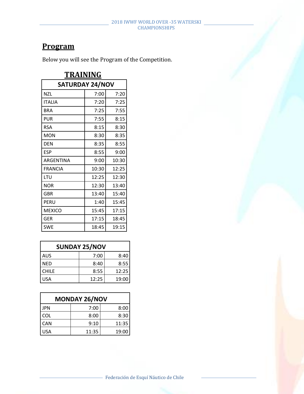## **Program**

Below you will see the Program of the Competition.

| TRAINING               |       |       |  |  |
|------------------------|-------|-------|--|--|
| <b>SATURDAY 24/NOV</b> |       |       |  |  |
| <b>NZL</b>             | 7:00  | 7:20  |  |  |
| <b>ITALIA</b>          | 7:20  | 7:25  |  |  |
| <b>BRA</b>             | 7:25  | 7:55  |  |  |
| <b>PUR</b>             | 7:55  | 8:15  |  |  |
| <b>RSA</b>             | 8:15  | 8:30  |  |  |
| <b>MON</b>             | 8:30  | 8:35  |  |  |
| <b>DEN</b>             | 8:35  | 8:55  |  |  |
| <b>ESP</b>             | 8:55  | 9:00  |  |  |
| ARGENTINA              | 9:00  | 10:30 |  |  |
| <b>FRANCIA</b>         | 10:30 | 12:25 |  |  |
| LTU                    | 12:25 | 12:30 |  |  |
| <b>NOR</b>             | 12:30 | 13:40 |  |  |
| <b>GBR</b>             | 13:40 | 15:40 |  |  |
| PERU                   | 1:40  | 15:45 |  |  |
| <b>MEXICO</b>          | 15:45 | 17:15 |  |  |
| GER                    | 17:15 | 18:45 |  |  |
| <b>SWE</b>             | 18:45 | 19:15 |  |  |

| <b>SUNDAY 25/NOV</b> |       |       |  |
|----------------------|-------|-------|--|
| <b>AUS</b>           | 7:00  | 8:40  |  |
| NED                  | 8:40  | 8:55  |  |
| <b>CHILE</b>         | 8:55  | 12:25 |  |
| <b>USA</b>           | 12:25 | 19:00 |  |

| <b>MONDAY 26/NOV</b> |       |       |  |
|----------------------|-------|-------|--|
| <b>JPN</b>           | 7:00  | 8:00  |  |
| <b>COL</b>           | 8:00  | 8:30  |  |
| <b>CAN</b>           | 9:10  | 11:35 |  |
| USA                  | 11:35 | 19:00 |  |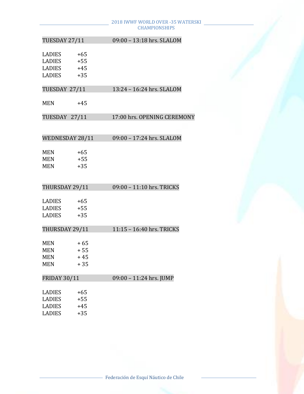| TUESDAY 27/11       |       | 09:00 - 13:18 hrs. SLALOM   |
|---------------------|-------|-----------------------------|
|                     |       |                             |
| LADIES              | $+65$ |                             |
| LADIES              | $+55$ |                             |
| LADIES              | $+45$ |                             |
| <b>LADIES</b>       | $+35$ |                             |
| TUESDAY 27/11       |       | 13:24 - 16:24 hrs. SLALOM   |
| <b>MEN</b>          | $+45$ |                             |
| TUESDAY 27/11       |       | 17:00 hrs. OPENING CEREMONY |
|                     |       |                             |
| WEDNESDAY 28/11     |       | 09:00 - 17:24 hrs. SLALOM   |
| MEN                 | $+65$ |                             |
| <b>MEN</b>          | $+55$ |                             |
| <b>MEN</b>          | $+35$ |                             |
|                     |       |                             |
| THURSDAY 29/11      |       | 09:00 - 11:10 hrs. TRICKS   |
|                     |       |                             |
| <b>LADIES</b>       | $+65$ |                             |
| LADIES              | $+55$ |                             |
| <b>LADIES</b>       | $+35$ |                             |
| THURSDAY 29/11      |       | 11:15 - 16:40 hrs. TRICKS   |
| <b>MEN</b>          | $+65$ |                             |
| <b>MEN</b>          | $+55$ |                             |
| <b>MEN</b>          | $+45$ |                             |
| <b>MEN</b>          | $+35$ |                             |
| <b>FRIDAY 30/11</b> |       | 09:00 - 11:24 hrs. JUMP     |
|                     |       |                             |
| <b>LADIES</b>       | $+65$ |                             |
| <b>LADIES</b>       | $+55$ |                             |
| <b>LADIES</b>       | $+45$ |                             |
| <b>LADIES</b>       | $+35$ |                             |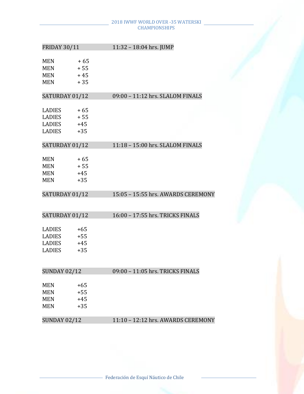| <b>FRIDAY 30/11</b>                           |                                  | 11:32 - 18:04 hrs. JUMP            |
|-----------------------------------------------|----------------------------------|------------------------------------|
| MEN<br><b>MEN</b><br><b>MEN</b><br>MEN        | $+65$<br>$+55$<br>$+45$<br>$+35$ |                                    |
| SATURDAY 01/12                                |                                  | 09:00 - 11:12 hrs. SLALOM FINALS   |
| LADIES<br>LADIES<br>LADIES<br>LADIES          | $+65$<br>$+55$<br>$+45$<br>$+35$ |                                    |
| SATURDAY 01/12                                |                                  | 11:18 - 15:00 hrs. SLALOM FINALS   |
| MEN<br><b>MEN</b><br><b>MEN</b><br><b>MEN</b> | $+65$<br>$+55$<br>$+45$<br>$+35$ |                                    |
| SATURDAY 01/12                                |                                  | 15:05 - 15:55 hrs. AWARDS CEREMONY |
|                                               |                                  |                                    |
| SATURDAY 01/12                                |                                  | 16:00 - 17:55 hrs. TRICKS FINALS   |
| LADIES<br>LADIES<br>LADIES<br>LADIES          | $+65$<br>$+55$<br>$+45$<br>$+35$ |                                    |
| <b>SUNDAY 02/12</b>                           |                                  | 09:00 - 11:05 hrs. TRICKS FINALS   |
| MEN<br>MEN<br><b>MEN</b><br>MEN               | $+65$<br>$+55$<br>$+45$<br>$+35$ |                                    |
| SUNDAY 02/12                                  |                                  | 11:10 - 12:12 hrs. AWARDS CEREMONY |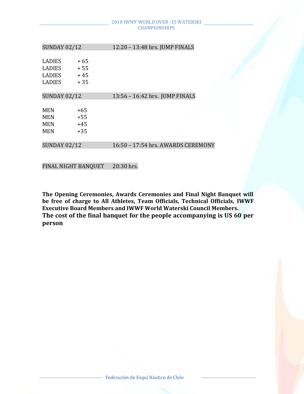| <b>SUNDAY 02/12</b>                                              |                                 | 12:20 - 13:48 hrs. JUMP FINALS     |  |
|------------------------------------------------------------------|---------------------------------|------------------------------------|--|
| <b>LADIES</b><br><b>LADIES</b><br><b>LADIES</b><br><b>LADIES</b> | $+65$<br>$+55$<br>$+45$<br>+ 35 |                                    |  |
| <b>SUNDAY 02/12</b>                                              |                                 | 13:56 - 16:42 hrs. JUMP FINALS     |  |
| <b>MEN</b><br>MEN<br><b>MEN</b><br><b>MEN</b>                    | +65<br>$+55$<br>$+45$<br>$+35$  |                                    |  |
| <b>SUNDAY 02/12</b>                                              |                                 | 16:50 - 17:54 hrs. AWARDS CEREMONY |  |

FINAL NIGHT BANQUET 20:30 hrs.

**The Opening Ceremonies, Awards Ceremonies and Final Night Banquet will be free of charge to All Athletes, Team Officials, Technical Officials, IWWF Executive Board Members and IWWF World Waterski Council Members. The cost of the final banquet for the people accompanying is US 60 per person**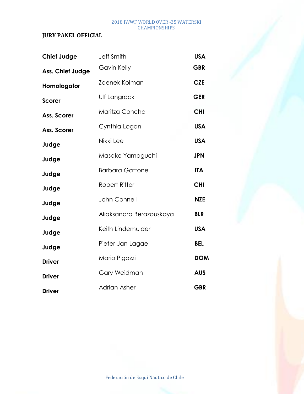## **JURY PANEL OFFICIAL**

| <b>Chief Judge</b> | <b>Jeff Smith</b>        | <b>USA</b> |
|--------------------|--------------------------|------------|
| Ass. Chief Judge   | Gavin Kelly              | <b>GBR</b> |
| Homologator        | <b>Zdenek Kolman</b>     | <b>CZE</b> |
| <b>Scorer</b>      | Ulf Langrock             | <b>GER</b> |
| Ass. Scorer        | Maritza Concha           | <b>CHI</b> |
| Ass. Scorer        | Cynthia Logan            | <b>USA</b> |
| Judge              | Nikki Lee                | <b>USA</b> |
| Judge              | Masako Yamaguchi         | <b>JPN</b> |
| Judge              | <b>Barbara Gattone</b>   | <b>ITA</b> |
| Judge              | <b>Robert Ritter</b>     | <b>CHI</b> |
| Judge              | John Connell             | <b>NZE</b> |
| Judge              | Aliaksandra Berazouskaya | <b>BLR</b> |
| Judge              | Keith Lindemulder        | <b>USA</b> |
| Judge              | Pieter-Jan Lagae         | <b>BEL</b> |
| <b>Driver</b>      | Mario Pigozzi            | <b>DOM</b> |
| <b>Driver</b>      | Gary Weidman             | <b>AUS</b> |
| <b>Driver</b>      | Adrian Asher             | <b>GBR</b> |
|                    |                          |            |